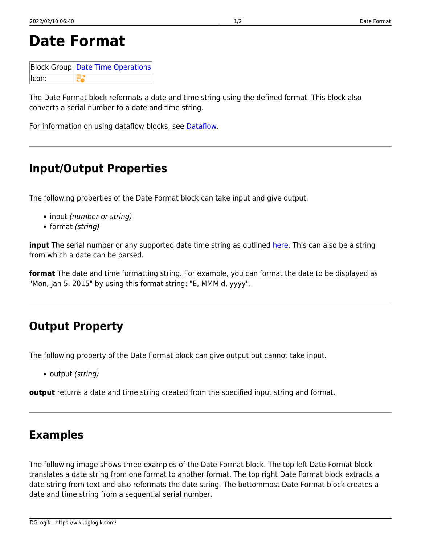# **Date Format**

|       | <b>Block Group: Date Time Operations</b> |
|-------|------------------------------------------|
| lcon: |                                          |

The Date Format block reformats a date and time string using the defined format. This block also converts a serial number to a date and time string.

For information on using dataflow blocks, see [Dataflow](https://wiki.dglogik.com/dglux5_wiki:dataflow:home).

## **Input/Output Properties**

The following properties of the Date Format block can take input and give output.

- input (number or string)
- format (string)

**input** The serial number or any supported date time string as outlined [here](https://wiki.dglogik.com/dglux5_wiki:dgscript:home?&#examples_of_supported_new_datetime_datestring_formats). This can also be a string from which a date can be parsed.

**format** The date and time formatting string. For example, you can format the date to be displayed as "Mon, Jan 5, 2015" by using this format string: "E, MMM d, yyyy".

# **Output Property**

The following property of the Date Format block can give output but cannot take input.

• output (string)

**output** returns a date and time string created from the specified input string and format.

### **Examples**

The following image shows three examples of the Date Format block. The top left Date Format block translates a date string from one format to another format. The top right Date Format block extracts a date string from text and also reformats the date string. The bottommost Date Format block creates a date and time string from a sequential serial number.